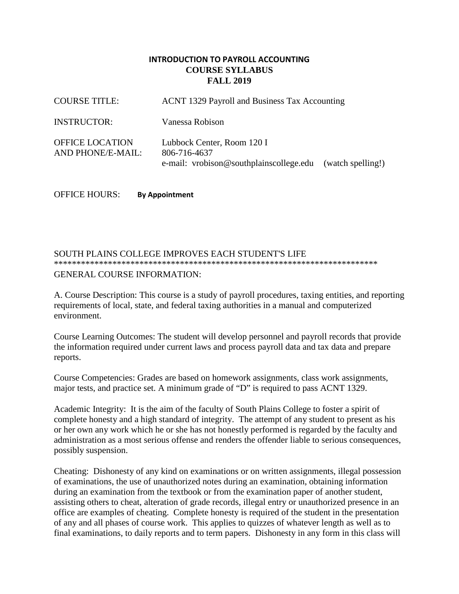# **INTRODUCTION TO PAYROLL ACCOUNTING COURSE SYLLABUS FALL 2019**

| <b>COURSE TITLE:</b>                        | ACNT 1329 Payroll and Business Tax Accounting                                         |                   |  |
|---------------------------------------------|---------------------------------------------------------------------------------------|-------------------|--|
| <b>INSTRUCTOR:</b>                          | Vanessa Robison                                                                       |                   |  |
| <b>OFFICE LOCATION</b><br>AND PHONE/E-MAIL: | Lubbock Center, Room 120 I<br>806-716-4637<br>e-mail: vrobison@southplainscollege.edu | (watch spelling!) |  |

OFFICE HOURS: **By Appointment**

# SOUTH PLAINS COLLEGE IMPROVES EACH STUDENT'S LIFE \*\*\*\*\*\*\*\*\*\*\*\*\*\*\*\*\*\*\*\*\*\*\*\*\*\*\*\*\*\*\*\*\*\*\*\*\*\*\*\*\*\*\*\*\*\*\*\*\*\*\*\*\*\*\*\*\*\*\*\*\*\*\*\*\*\*\*\*\*\*\*\* GENERAL COURSE INFORMATION:

A. Course Description: This course is a study of payroll procedures, taxing entities, and reporting requirements of local, state, and federal taxing authorities in a manual and computerized environment.

Course Learning Outcomes: The student will develop personnel and payroll records that provide the information required under current laws and process payroll data and tax data and prepare reports.

Course Competencies: Grades are based on homework assignments, class work assignments, major tests, and practice set. A minimum grade of "D" is required to pass ACNT 1329.

Academic Integrity: It is the aim of the faculty of South Plains College to foster a spirit of complete honesty and a high standard of integrity. The attempt of any student to present as his or her own any work which he or she has not honestly performed is regarded by the faculty and administration as a most serious offense and renders the offender liable to serious consequences, possibly suspension.

Cheating: Dishonesty of any kind on examinations or on written assignments, illegal possession of examinations, the use of unauthorized notes during an examination, obtaining information during an examination from the textbook or from the examination paper of another student, assisting others to cheat, alteration of grade records, illegal entry or unauthorized presence in an office are examples of cheating. Complete honesty is required of the student in the presentation of any and all phases of course work. This applies to quizzes of whatever length as well as to final examinations, to daily reports and to term papers. Dishonesty in any form in this class will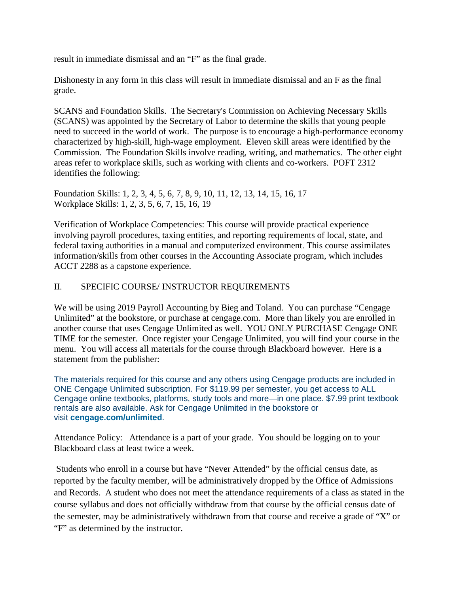result in immediate dismissal and an "F" as the final grade.

Dishonesty in any form in this class will result in immediate dismissal and an F as the final grade.

SCANS and Foundation Skills. The Secretary's Commission on Achieving Necessary Skills (SCANS) was appointed by the Secretary of Labor to determine the skills that young people need to succeed in the world of work. The purpose is to encourage a high-performance economy characterized by high-skill, high-wage employment. Eleven skill areas were identified by the Commission. The Foundation Skills involve reading, writing, and mathematics. The other eight areas refer to workplace skills, such as working with clients and co-workers. POFT 2312 identifies the following:

Foundation Skills: 1, 2, 3, 4, 5, 6, 7, 8, 9, 10, 11, 12, 13, 14, 15, 16, 17 Workplace Skills: 1, 2, 3, 5, 6, 7, 15, 16, 19

Verification of Workplace Competencies: This course will provide practical experience involving payroll procedures, taxing entities, and reporting requirements of local, state, and federal taxing authorities in a manual and computerized environment. This course assimilates information/skills from other courses in the Accounting Associate program, which includes ACCT 2288 as a capstone experience.

# II. SPECIFIC COURSE/ INSTRUCTOR REQUIREMENTS

We will be using 2019 Payroll Accounting by Bieg and Toland. You can purchase "Cengage Unlimited" at the bookstore, or purchase at cengage.com. More than likely you are enrolled in another course that uses Cengage Unlimited as well. YOU ONLY PURCHASE Cengage ONE TIME for the semester. Once register your Cengage Unlimited, you will find your course in the menu. You will access all materials for the course through Blackboard however. Here is a statement from the publisher:

The materials required for this course and any others using Cengage products are included in ONE Cengage Unlimited subscription. For \$119.99 per semester, you get access to ALL Cengage online textbooks, platforms, study tools and more—in one place. \$7.99 print textbook rentals are also available. Ask for Cengage Unlimited in the bookstore or visit **[cengage.com/unlimited](https://www.cengage.com/unlimited/)**.

Attendance Policy: Attendance is a part of your grade. You should be logging on to your Blackboard class at least twice a week.

Students who enroll in a course but have "Never Attended" by the official census date, as reported by the faculty member, will be administratively dropped by the Office of Admissions and Records. A student who does not meet the attendance requirements of a class as stated in the course syllabus and does not officially withdraw from that course by the official census date of the semester, may be administratively withdrawn from that course and receive a grade of "X" or "F" as determined by the instructor.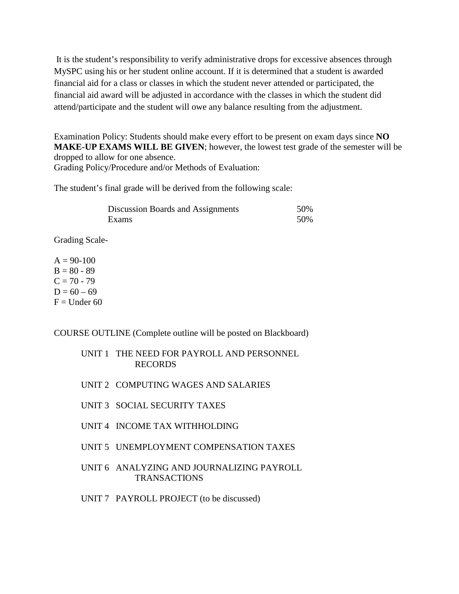It is the student's responsibility to verify administrative drops for excessive absences through MySPC using his or her student online account. If it is determined that a student is awarded financial aid for a class or classes in which the student never attended or participated, the financial aid award will be adjusted in accordance with the classes in which the student did attend/participate and the student will owe any balance resulting from the adjustment.

Examination Policy: Students should make every effort to be present on exam days since **NO MAKE-UP EXAMS WILL BE GIVEN**; however, the lowest test grade of the semester will be dropped to allow for one absence. Grading Policy/Procedure and/or Methods of Evaluation:

The student's final grade will be derived from the following scale:

| Discussion Boards and Assignments | .50% |
|-----------------------------------|------|
| Exams                             | 50%  |

Grading Scale-

 $A = 90-100$  $B = 80 - 89$  $C = 70 - 79$  $D = 60 - 69$  $F =$ Under 60

COURSE OUTLINE (Complete outline will be posted on Blackboard)

UNIT 1 THE NEED FOR PAYROLL AND PERSONNEL RECORDS

- UNIT 2 COMPUTING WAGES AND SALARIES
- UNIT 3 SOCIAL SECURITY TAXES
- UNIT 4 INCOME TAX WITHHOLDING
- UNIT 5 UNEMPLOYMENT COMPENSATION TAXES
- UNIT 6 ANALYZING AND JOURNALIZING PAYROLL TRANSACTIONS
- UNIT 7 PAYROLL PROJECT (to be discussed)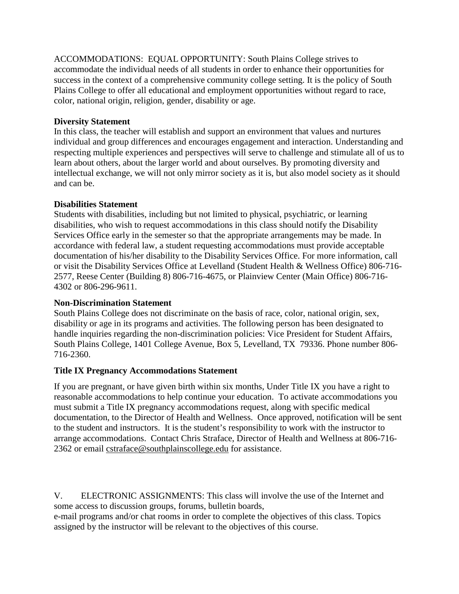ACCOMMODATIONS: EQUAL OPPORTUNITY: South Plains College strives to accommodate the individual needs of all students in order to enhance their opportunities for success in the context of a comprehensive community college setting. It is the policy of South Plains College to offer all educational and employment opportunities without regard to race, color, national origin, religion, gender, disability or age.

# **Diversity Statement**

In this class, the teacher will establish and support an environment that values and nurtures individual and group differences and encourages engagement and interaction. Understanding and respecting multiple experiences and perspectives will serve to challenge and stimulate all of us to learn about others, about the larger world and about ourselves. By promoting diversity and intellectual exchange, we will not only mirror society as it is, but also model society as it should and can be.

# **Disabilities Statement**

Students with disabilities, including but not limited to physical, psychiatric, or learning disabilities, who wish to request accommodations in this class should notify the Disability Services Office early in the semester so that the appropriate arrangements may be made. In accordance with federal law, a student requesting accommodations must provide acceptable documentation of his/her disability to the Disability Services Office. For more information, call or visit the Disability Services Office at Levelland (Student Health & Wellness Office) 806-716- 2577, Reese Center (Building 8) 806-716-4675, or Plainview Center (Main Office) 806-716- 4302 or 806-296-9611.

# **Non-Discrimination Statement**

South Plains College does not discriminate on the basis of race, color, national origin, sex, disability or age in its programs and activities. The following person has been designated to handle inquiries regarding the non-discrimination policies: Vice President for Student Affairs, South Plains College, 1401 College Avenue, Box 5, Levelland, TX 79336. Phone number 806- 716-2360.

# **Title IX Pregnancy Accommodations Statement**

If you are pregnant, or have given birth within six months, Under Title IX you have a right to reasonable accommodations to help continue your education. To activate accommodations you must submit a Title IX pregnancy accommodations request, along with specific medical documentation, to the Director of Health and Wellness. Once approved, notification will be sent to the student and instructors. It is the student's responsibility to work with the instructor to arrange accommodations. Contact Chris Straface, Director of Health and Wellness at 806-716- 2362 or email [cstraface@southplainscollege.edu](mailto:cstraface@southplainscollege.edu) for assistance.

V. ELECTRONIC ASSIGNMENTS: This class will involve the use of the Internet and some access to discussion groups, forums, bulletin boards, e-mail programs and/or chat rooms in order to complete the objectives of this class. Topics

assigned by the instructor will be relevant to the objectives of this course.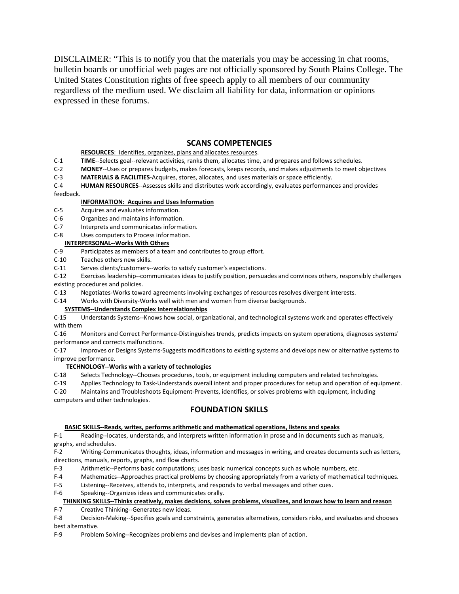DISCLAIMER: "This is to notify you that the materials you may be accessing in chat rooms, bulletin boards or unofficial web pages are not officially sponsored by South Plains College. The United States Constitution rights of free speech apply to all members of our community regardless of the medium used. We disclaim all liability for data, information or opinions expressed in these forums.

### **SCANS COMPETENCIES**

### **RESOURCES**: Identifies, organizes, plans and allocates resources.

- C-1 **TIME**--Selects goal--relevant activities, ranks them, allocates time, and prepares and follows schedules.
- C-2 **MONEY**--Uses or prepares budgets, makes forecasts, keeps records, and makes adjustments to meet objectives<br>C-3 **MATERIALS & FACILITIES**-Acquires, stores, allocates, and uses materials or space efficiently.
- MATERIALS & FACILITIES-Acquires, stores, allocates, and uses materials or space efficiently.

C-4 **HUMAN RESOURCES**--Assesses skills and distributes work accordingly, evaluates performances and provides feedback.

#### **INFORMATION: Acquires and Uses Information**

- C-5 Acquires and evaluates information.
- C-6 Organizes and maintains information.<br>C-7 Interprets and communicates informa
- Interprets and communicates information.
- C-8 Uses computers to Process information.

### **INTERPERSONAL--Works With Others**

- C-9 Participates as members of a team and contributes to group effort.
- C-10 Teaches others new skills.
- C-11 Serves clients/customers--works to satisfy customer's expectations.
- C-12 Exercises leadership--communicates ideas to justify position, persuades and convinces others, responsibly challenges existing procedures and policies.
- C-13 Negotiates-Works toward agreements involving exchanges of resources resolves divergent interests.
- C-14 Works with Diversity-Works well with men and women from diverse backgrounds.

### **SYSTEMS--Understands Complex Interrelationships**

C-15 Understands Systems--Knows how social, organizational, and technological systems work and operates effectively with them

C-16 Monitors and Correct Performance-Distinguishes trends, predicts impacts on system operations, diagnoses systems' performance and corrects malfunctions.

C-17 Improves or Designs Systems-Suggests modifications to existing systems and develops new or alternative systems to improve performance.

#### **TECHNOLOGY--Works with a variety of technologies**

C-18 Selects Technology--Chooses procedures, tools, or equipment including computers and related technologies.

C-19 Applies Technology to Task-Understands overall intent and proper procedures for setup and operation of equipment.<br>C-20 Maintains and Troubleshoots Equipment-Prevents, identifies, or solves problems with equipment, inc

Maintains and Troubleshoots Equipment-Prevents, identifies, or solves problems with equipment, including

computers and other technologies.

### **FOUNDATION SKILLS**

#### **BASIC SKILLS--Reads, writes, performs arithmetic and mathematical operations, listens and speaks**

F-1 Reading--locates, understands, and interprets written information in prose and in documents such as manuals, graphs, and schedules.

F-2 Writing-Communicates thoughts, ideas, information and messages in writing, and creates documents such as letters, directions, manuals, reports, graphs, and flow charts.

- F-3 Arithmetic--Performs basic computations; uses basic numerical concepts such as whole numbers, etc.
- F-4 Mathematics--Approaches practical problems by choosing appropriately from a variety of mathematical techniques.
- F-5 Listening--Receives, attends to, interprets, and responds to verbal messages and other cues.
- F-6 Speaking--Organizes ideas and communicates orally.

### **THINKING SKILLS--Thinks creatively, makes decisions, solves problems, visualizes, and knows how to learn and reason**

F-7 Creative Thinking--Generates new ideas.

F-8 Decision-Making--Specifies goals and constraints, generates alternatives, considers risks, and evaluates and chooses best alternative.

F-9 Problem Solving--Recognizes problems and devises and implements plan of action.